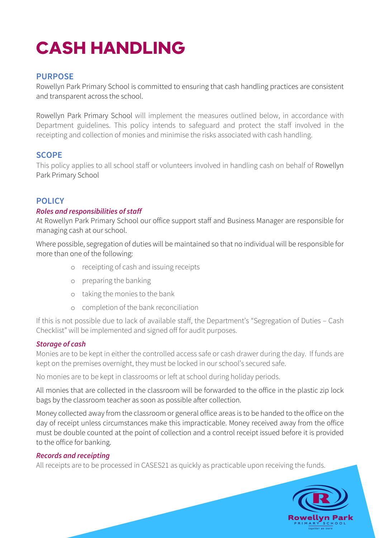# **CASH HANDLING**

## **PURPOSE**

Rowellyn Park Primary School is committed to ensuring that cash handling practices are consistent and transparent across the school.

Rowellyn Park Primary School will implement the measures outlined below, in accordance with Department guidelines. This policy intends to safeguard and protect the staff involved in the receipting and collection of monies and minimise the risks associated with cash handling.

## **SCOPE**

This policy applies to all school staff or volunteers involved in handling cash on behalf of Rowellyn Park Primary School

## **POLICY**

#### *Roles and responsibilities of staff*

At Rowellyn Park Primary School our office support staff and Business Manager are responsible for managing cash at our school.

Where possible, segregation of duties will be maintained so that no individual will be responsible for more than one of the following:

- o receipting of cash and issuing receipts
- o preparing the banking
- o taking the monies to the bank
- o completion of the bank reconciliation

If this is not possible due to lack of available staff, the Department's "Segregation of Duties – Cash Checklist" will be implemented and signed off for audit purposes.

### *Storage of cash*

Monies are to be kept in either the controlled access safe or cash drawer during the day. If funds are kept on the premises overnight, they must be locked in our school's secured safe.

No monies are to be kept in classrooms or left at school during holiday periods.

All monies that are collected in the classroom will be forwarded to the office in the plastic zip lock bags by the classroom teacher as soon as possible after collection.

Money collected away from the classroom or general office areas is to be handed to the office on the day of receipt unless circumstances make this impracticable. Money received away from the office must be double counted at the point of collection and a control receipt issued before it is provided to the office for banking.

### *Records and receipting*

All receipts are to be processed in CASES21 as quickly as practicable upon receiving the funds.

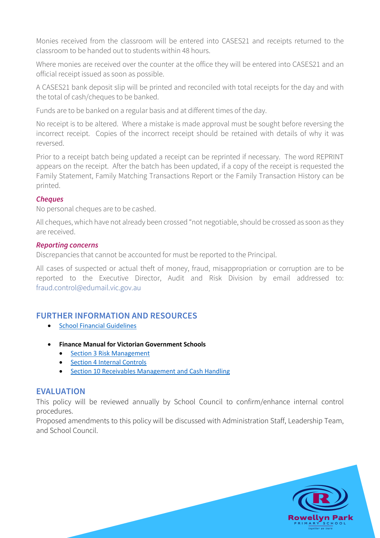Monies received from the classroom will be entered into CASES21 and receipts returned to the classroom to be handed out to students within 48 hours.

Where monies are received over the counter at the office they will be entered into CASES21 and an official receipt issued as soon as possible.

A CASES21 bank deposit slip will be printed and reconciled with total receipts for the day and with the total of cash/cheques to be banked.

Funds are to be banked on a regular basis and at different times of the day.

No receipt is to be altered. Where a mistake is made approval must be sought before reversing the incorrect receipt. Copies of the incorrect receipt should be retained with details of why it was reversed.

Prior to a receipt batch being updated a receipt can be reprinted if necessary. The word REPRINT appears on the receipt. After the batch has been updated, if a copy of the receipt is requested the Family Statement, Family Matching Transactions Report or the Family Transaction History can be printed.

#### *Cheques*

No personal cheques are to be cashed.

All cheques, which have not already been crossed "not negotiable, should be crossed as soon as they are received.

#### *Reporting concerns*

Discrepancies that cannot be accounted for must be reported to the Principal.

All cases of suspected or actual theft of money, fraud, misappropriation or corruption are to be reported to the Executive Director, Audit and Risk Division by email addressed to: fraud.control@edumail.vic.gov.au

### **FURTHER INFORMATION AND RESOURCES**

- School Financial Guidelines
- **Finance Manual for Victorian Government Schools** 
	- Section 3 Risk Management
	- Section 4 Internal Controls
	- Section 10 Receivables Management and Cash Handling

### **EVALUATION**

This policy will be reviewed annually by School Council to confirm/enhance internal control procedures.

Proposed amendments to this policy will be discussed with Administration Staff, Leadership Team, and School Council.